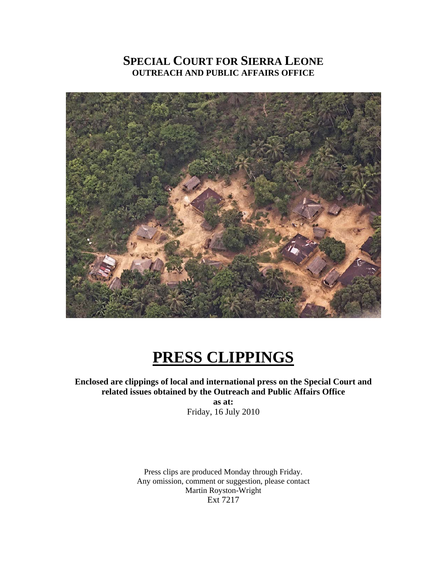## **SPECIAL COURT FOR SIERRA LEONE OUTREACH AND PUBLIC AFFAIRS OFFICE**



# **PRESS CLIPPINGS**

**Enclosed are clippings of local and international press on the Special Court and related issues obtained by the Outreach and Public Affairs Office as at:** 

Friday, 16 July 2010

Press clips are produced Monday through Friday. Any omission, comment or suggestion, please contact Martin Royston-Wright Ext 7217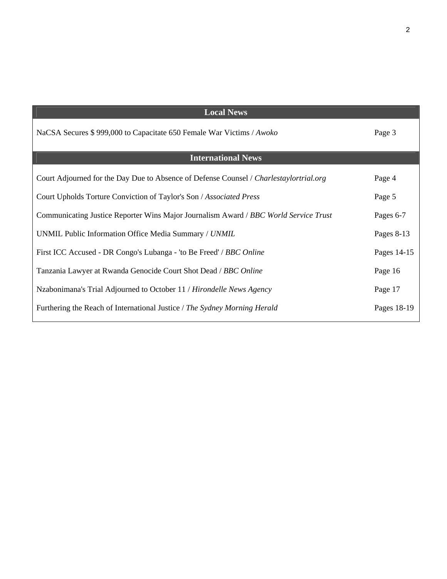| <b>Local News</b>                                                                      |             |
|----------------------------------------------------------------------------------------|-------------|
| NaCSA Secures \$999,000 to Capacitate 650 Female War Victims / Awoko                   | Page 3      |
| <b>International News</b>                                                              |             |
| Court Adjourned for the Day Due to Absence of Defense Counsel / Charlestaylortrial.org | Page 4      |
| Court Upholds Torture Conviction of Taylor's Son / Associated Press                    | Page 5      |
| Communicating Justice Reporter Wins Major Journalism Award / BBC World Service Trust   | Pages 6-7   |
| UNMIL Public Information Office Media Summary / UNMIL                                  | Pages 8-13  |
| First ICC Accused - DR Congo's Lubanga - 'to Be Freed' / BBC Online                    | Pages 14-15 |
| Tanzania Lawyer at Rwanda Genocide Court Shot Dead / BBC Online                        | Page 16     |
| Nzabonimana's Trial Adjourned to October 11 / Hirondelle News Agency                   | Page 17     |
| Furthering the Reach of International Justice / The Sydney Morning Herald              | Pages 18-19 |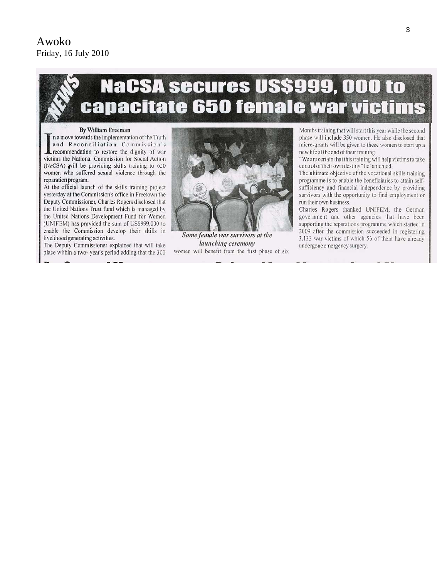## Awoko Friday, 16 July 2010

# **NacsA secures US\$999, 000 to** capacitate 650 female war victims

#### **By William Freeman**

n a move towards the implementation of the Truth and Reconciliation Commission's recommendation to restore the dignity of war victims the National Commission for Social Action (NaCSA) will be providing skills training to 650 women who suffered sexual violence through the reparation program.

At the official launch of the skills training project yesterday at the Commission's office in Freetown the Deputy Commissioner, Charles Rogers disclosed that the United Nations Trust fund which is managed by the United Nations Development Fund for Women (UNIFEM) has provided the sum of US\$999,000 to enable the Commission develop their skills in livelihood generating activities.

The Deputy Commissioner explained that will take place within a two-year's period adding that the 300



Some female war survivors at the launching ceremony women will benefit from the first phase of six

Months training that will start this year while the second phase will include 350 women. He also disclosed that micro-grants will be given to these women to start up a new life at the end of their training.

"We are certain that this training will help victims to take control of their own destiny" he lamented.

The ultimate objective of the vocational skills training programme is to enable the beneficiaries to attain selfsufficiency and financial independence by providing survivors with the opportunity to find employment or run their own business.

Charles Rogers thanked UNIFEM, the German government and other agencies that have been supporting the reparations programme which started in 2009 after the commission succeeded in registering 3,133 war victims of which 56 of them have already undergone emergency surgery.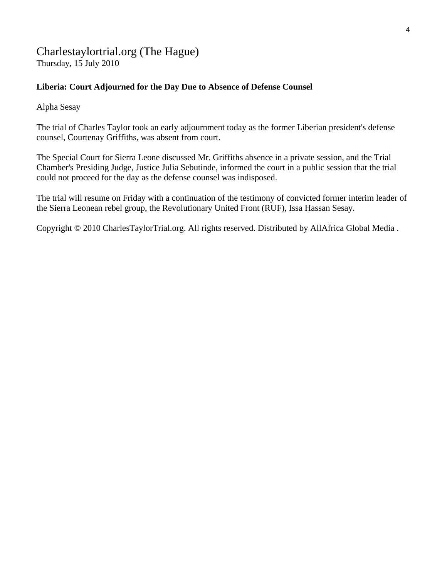## Charlestaylortrial.org (The Hague) Thursday, 15 July 2010

## **Liberia: Court Adjourned for the Day Due to Absence of Defense Counsel**

Alpha Sesay

The trial of Charles Taylor took an early adjournment today as the former Liberian president's defense counsel, Courtenay Griffiths, was absent from court.

The Special Court for Sierra Leone discussed Mr. Griffiths absence in a private session, and the Trial Chamber's Presiding Judge, Justice Julia Sebutinde, informed the court in a public session that the trial could not proceed for the day as the defense counsel was indisposed.

The trial will resume on Friday with a continuation of the testimony of convicted former interim leader of the Sierra Leonean rebel group, the Revolutionary United Front (RUF), Issa Hassan Sesay.

Copyright © 2010 CharlesTaylorTrial.org. All rights reserved. Distributed by AllAfrica Global Media .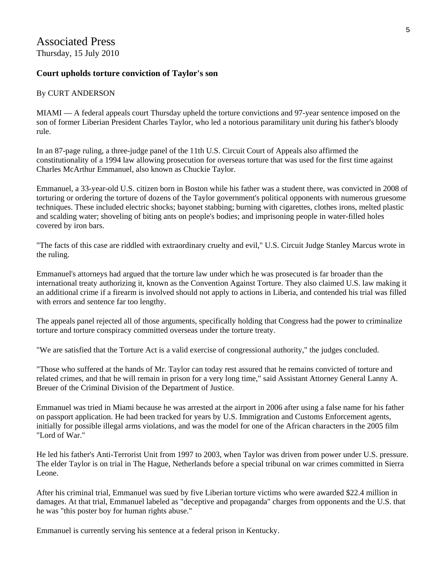## Associated Press Thursday, 15 July 2010

#### **Court upholds torture conviction of Taylor's son**

#### By CURT ANDERSON

MIAMI — A federal appeals court Thursday upheld the torture convictions and 97-year sentence imposed on the son of former Liberian President Charles Taylor, who led a notorious paramilitary unit during his father's bloody rule.

In an 87-page ruling, a three-judge panel of the 11th U.S. Circuit Court of Appeals also affirmed the constitutionality of a 1994 law allowing prosecution for overseas torture that was used for the first time against Charles McArthur Emmanuel, also known as Chuckie Taylor.

Emmanuel, a 33-year-old U.S. citizen born in Boston while his father was a student there, was convicted in 2008 of torturing or ordering the torture of dozens of the Taylor government's political opponents with numerous gruesome techniques. These included electric shocks; bayonet stabbing; burning with cigarettes, clothes irons, melted plastic and scalding water; shoveling of biting ants on people's bodies; and imprisoning people in water-filled holes covered by iron bars.

"The facts of this case are riddled with extraordinary cruelty and evil," U.S. Circuit Judge Stanley Marcus wrote in the ruling.

Emmanuel's attorneys had argued that the torture law under which he was prosecuted is far broader than the international treaty authorizing it, known as the Convention Against Torture. They also claimed U.S. law making it an additional crime if a firearm is involved should not apply to actions in Liberia, and contended his trial was filled with errors and sentence far too lengthy.

The appeals panel rejected all of those arguments, specifically holding that Congress had the power to criminalize torture and torture conspiracy committed overseas under the torture treaty.

"We are satisfied that the Torture Act is a valid exercise of congressional authority," the judges concluded.

"Those who suffered at the hands of Mr. Taylor can today rest assured that he remains convicted of torture and related crimes, and that he will remain in prison for a very long time," said Assistant Attorney General Lanny A. Breuer of the Criminal Division of the Department of Justice.

Emmanuel was tried in Miami because he was arrested at the airport in 2006 after using a false name for his father on passport application. He had been tracked for years by U.S. Immigration and Customs Enforcement agents, initially for possible illegal arms violations, and was the model for one of the African characters in the 2005 film "Lord of War."

He led his father's Anti-Terrorist Unit from 1997 to 2003, when Taylor was driven from power under U.S. pressure. The elder Taylor is on trial in The Hague, Netherlands before a special tribunal on war crimes committed in Sierra Leone.

After his criminal trial, Emmanuel was sued by five Liberian torture victims who were awarded \$22.4 million in damages. At that trial, Emmanuel labeled as "deceptive and propaganda" charges from opponents and the U.S. that he was "this poster boy for human rights abuse."

Emmanuel is currently serving his sentence at a federal prison in Kentucky.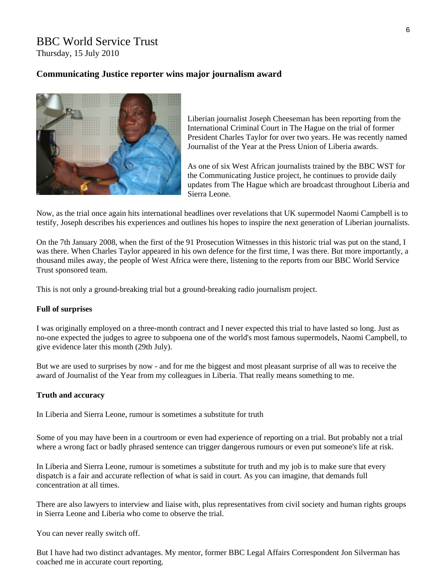## BBC World Service Trust

Thursday, 15 July 2010

#### **Communicating Justice reporter wins major journalism award**



Liberian journalist Joseph Cheeseman has been reporting from the International Criminal Court in The Hague on the trial of former President Charles Taylor for over two years. He was recently named Journalist of the Year at the Press Union of Liberia awards.

As one of six West African journalists trained by the BBC WST for the Communicating Justice project, he continues to provide daily updates from The Hague which are broadcast throughout Liberia a nd Sierra Leone.

Now, as the trial once again hits international headlines over revelations that UK supermodel Naomi Campbell is to testify, Joseph describes his experiences and outlines his hopes to inspire the next generation of Liberian journalists.

On the 7th January 2008, when the first of the 91 Prosecution Witnesses in this historic trial was put on the stand, I was there. When Charles Taylor appeared in his own defence for the first time, I was there. But more importantly, a thousand miles away, the people of West Africa were there, listening to the reports from our BBC World Service Trust sponsored team.

This is not only a ground-breaking trial but a ground-breaking radio journalism project.

#### **Full of surprises**

I was originally employed on a three-month contract and I never expected this trial to have lasted so long. Just as no-one expected the judges to agree to subpoena one of the world's most famous supermodels, Naomi Campbell, to give evidence later this month (29th July).

But we are used to surprises by now - and for me the biggest and most pleasant surprise of all was to receive the award of Journalist of the Year from my colleagues in Liberia. That really means something to me.

#### **Truth and accuracy**

In Liberia and Sierra Leone, rumour is sometimes a substitute for truth

Some of you may have been in a courtroom or even had experience of reporting on a trial. But probably not a trial where a wrong fact or badly phrased sentence can trigger dangerous rumours or even put someone's life at risk.

In Liberia and Sierra Leone, rumour is sometimes a substitute for truth and my job is to make sure that every dispatch is a fair and accurate reflection of what is said in court. As you can imagine, that demands full concentration at all times.

There are also lawyers to interview and liaise with, plus representatives from civil society and human rights groups in Sierra Leone and Liberia who come to observe the trial.

You can never really switch off.

But I have had two distinct advantages. My mentor, former BBC Legal Affairs Correspondent Jon Silverman has coached me in accurate court reporting.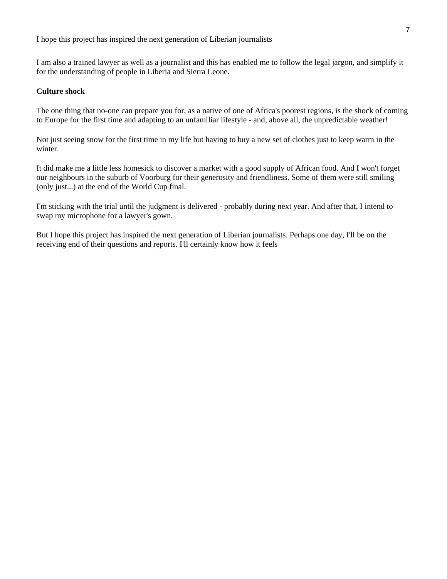I am also a trained lawyer as well as a journalist and this has enabled me to follow the legal jargon, and simplify it for the understanding of people in Liberia and Sierra Leone.

#### **Culture shock**

The one thing that no-one can prepare you for, as a native of one of Africa's poorest regions, is the shock of coming to Europe for the first time and adapting to an unfamiliar lifestyle - and, above all, the unpredictable weather!

Not just seeing snow for the first time in my life but having to buy a new set of clothes just to keep warm in the winter.

It did make me a little less homesick to discover a market with a good supply of African food. And I won't forget our neighbours in the suburb of Voorburg for their generosity and friendliness. Some of them were still smiling (only just...) at the end of the World Cup final.

I'm sticking with the trial until the judgment is delivered - probably during next year. And after that, I intend to swap my microphone for a lawyer's gown.

But I hope this project has inspired the next generation of Liberian journalists. Perhaps one day, I'll be on the receiving end of their questions and reports. I'll certainly know how it feels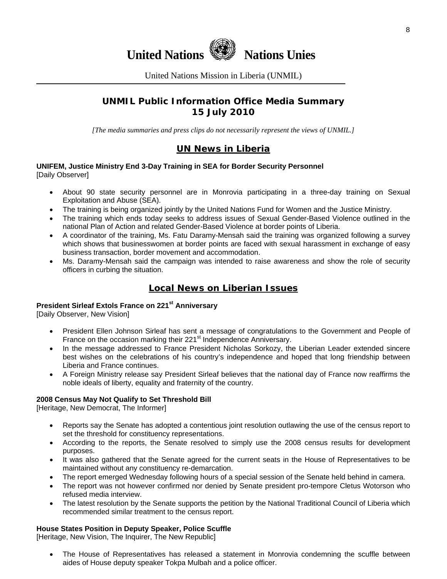

United Nations Mission in Liberia (UNMIL)

## **UNMIL Public Information Office Media Summary 15 July 2010**

*[The media summaries and press clips do not necessarily represent the views of UNMIL.]* 

## **UN News in Liberia**

#### **UNIFEM, Justice Ministry End 3-Day Training in SEA for Border Security Personnel**  [Daily Observer]

- About 90 state security personnel are in Monrovia participating in a three-day training on Sexual Exploitation and Abuse (SEA).
- The training is being organized jointly by the United Nations Fund for Women and the Justice Ministry.
- The training which ends today seeks to address issues of Sexual Gender-Based Violence outlined in the national Plan of Action and related Gender-Based Violence at border points of Liberia.
- A coordinator of the training, Ms. Fatu Daramy-Mensah said the training was organized following a survey which shows that businesswomen at border points are faced with sexual harassment in exchange of easy business transaction, border movement and accommodation.
- Ms. Daramy-Mensah said the campaign was intended to raise awareness and show the role of security officers in curbing the situation.

## **Local News on Liberian Issues**

#### **President Sirleaf Extols France on 221st Anniversary**

[Daily Observer, New Vision]

- President Ellen Johnson Sirleaf has sent a message of congratulations to the Government and People of France on the occasion marking their 221<sup>st</sup> Independence Anniversary.
- In the message addressed to France President Nicholas Sorkozy, the Liberian Leader extended sincere best wishes on the celebrations of his country's independence and hoped that long friendship between Liberia and France continues.
- A Foreign Ministry release say President Sirleaf believes that the national day of France now reaffirms the noble ideals of liberty, equality and fraternity of the country.

#### **2008 Census May Not Qualify to Set Threshold Bill**

[Heritage, New Democrat, The Informer]

- Reports say the Senate has adopted a contentious joint resolution outlawing the use of the census report to set the threshold for constituency representations.
- According to the reports, the Senate resolved to simply use the 2008 census results for development purposes.
- It was also gathered that the Senate agreed for the current seats in the House of Representatives to be maintained without any constituency re-demarcation.
- The report emerged Wednesday following hours of a special session of the Senate held behind in camera.
- The report was not however confirmed nor denied by Senate president pro-tempore Cletus Wotorson who refused media interview.
- The latest resolution by the Senate supports the petition by the National Traditional Council of Liberia which recommended similar treatment to the census report.

#### **House States Position in Deputy Speaker, Police Scuffle**

[Heritage, New Vision, The Inquirer, The New Republic]

• The House of Representatives has released a statement in Monrovia condemning the scuffle between aides of House deputy speaker Tokpa Mulbah and a police officer.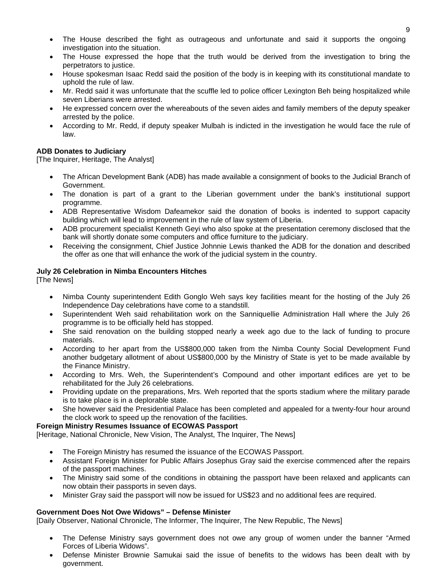- The House described the fight as outrageous and unfortunate and said it supports the ongoing investigation into the situation.
- The House expressed the hope that the truth would be derived from the investigation to bring the perpetrators to justice.
- House spokesman Isaac Redd said the position of the body is in keeping with its constitutional mandate to uphold the rule of law.
- Mr. Redd said it was unfortunate that the scuffle led to police officer Lexington Beh being hospitalized while seven Liberians were arrested.
- He expressed concern over the whereabouts of the seven aides and family members of the deputy speaker arrested by the police.
- According to Mr. Redd, if deputy speaker Mulbah is indicted in the investigation he would face the rule of law.

#### **ADB Donates to Judiciary**

[The Inquirer, Heritage, The Analyst]

- The African Development Bank (ADB) has made available a consignment of books to the Judicial Branch of Government.
- The donation is part of a grant to the Liberian government under the bank's institutional support programme.
- ADB Representative Wisdom Dafeamekor said the donation of books is indented to support capacity building which will lead to improvement in the rule of law system of Liberia.
- ADB procurement specialist Kenneth Geyi who also spoke at the presentation ceremony disclosed that the bank will shortly donate some computers and office furniture to the judiciary.
- Receiving the consignment, Chief Justice Johnnie Lewis thanked the ADB for the donation and described the offer as one that will enhance the work of the judicial system in the country.

#### **July 26 Celebration in Nimba Encounters Hitches**

[The News]

- Nimba County superintendent Edith Gonglo Weh says key facilities meant for the hosting of the July 26 Independence Day celebrations have come to a standstill.
- Superintendent Weh said rehabilitation work on the Sanniquellie Administration Hall where the July 26 programme is to be officially held has stopped.
- She said renovation on the building stopped nearly a week ago due to the lack of funding to procure materials.
- According to her apart from the US\$800,000 taken from the Nimba County Social Development Fund another budgetary allotment of about US\$800,000 by the Ministry of State is yet to be made available by the Finance Ministry.
- According to Mrs. Weh, the Superintendent's Compound and other important edifices are yet to be rehabilitated for the July 26 celebrations.
- Providing update on the preparations, Mrs. Weh reported that the sports stadium where the military parade is to take place is in a deplorable state.
- She however said the Presidential Palace has been completed and appealed for a twenty-four hour around the clock work to speed up the renovation of the facilities.

#### **Foreign Ministry Resumes Issuance of ECOWAS Passport**

[Heritage, National Chronicle, New Vision, The Analyst, The Inquirer, The News]

- The Foreign Ministry has resumed the issuance of the ECOWAS Passport.
- Assistant Foreign Minister for Public Affairs Josephus Gray said the exercise commenced after the repairs of the passport machines.
- The Ministry said some of the conditions in obtaining the passport have been relaxed and applicants can now obtain their passports in seven days.
- Minister Gray said the passport will now be issued for US\$23 and no additional fees are required.

#### **Government Does Not Owe Widows" – Defense Minister**

[Daily Observer, National Chronicle, The Informer, The Inquirer, The New Republic, The News]

- The Defense Ministry says government does not owe any group of women under the banner "Armed Forces of Liberia Widows".
- Defense Minister Brownie Samukai said the issue of benefits to the widows has been dealt with by government.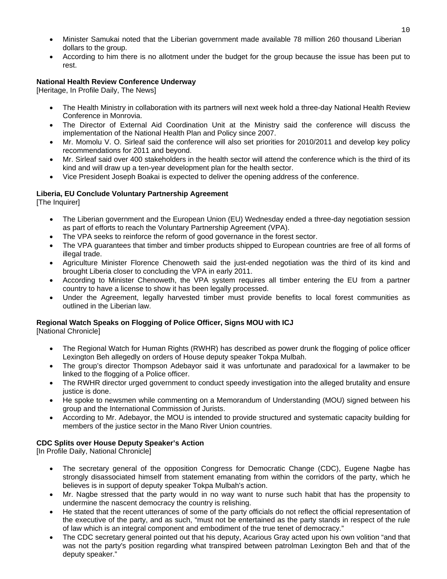- Minister Samukai noted that the Liberian government made available 78 million 260 thousand Liberian dollars to the group.
- According to him there is no allotment under the budget for the group because the issue has been put to rest.

#### **National Health Review Conference Underway**

[Heritage, In Profile Daily, The News]

- The Health Ministry in collaboration with its partners will next week hold a three-day National Health Review Conference in Monrovia.
- The Director of External Aid Coordination Unit at the Ministry said the conference will discuss the implementation of the National Health Plan and Policy since 2007.
- Mr. Momolu V. O. Sirleaf said the conference will also set priorities for 2010/2011 and develop key policy recommendations for 2011 and beyond.
- Mr. Sirleaf said over 400 stakeholders in the health sector will attend the conference which is the third of its kind and will draw up a ten-year development plan for the health sector.
- Vice President Joseph Boakai is expected to deliver the opening address of the conference.

#### **Liberia, EU Conclude Voluntary Partnership Agreement**

[The Inquirer]

- The Liberian government and the European Union (EU) Wednesday ended a three-day negotiation session as part of efforts to reach the Voluntary Partnership Agreement (VPA).
- The VPA seeks to reinforce the reform of good governance in the forest sector.
- The VPA guarantees that timber and timber products shipped to European countries are free of all forms of illegal trade.
- Agriculture Minister Florence Chenoweth said the just-ended negotiation was the third of its kind and brought Liberia closer to concluding the VPA in early 2011.
- According to Minister Chenoweth, the VPA system requires all timber entering the EU from a partner country to have a license to show it has been legally processed.
- Under the Agreement, legally harvested timber must provide benefits to local forest communities as outlined in the Liberian law.

#### **Regional Watch Speaks on Flogging of Police Officer, Signs MOU with ICJ**

[National Chronicle]

- The Regional Watch for Human Rights (RWHR) has described as power drunk the flogging of police officer Lexington Beh allegedly on orders of House deputy speaker Tokpa Mulbah.
- The group's director Thompson Adebayor said it was unfortunate and paradoxical for a lawmaker to be linked to the flogging of a Police officer.
- The RWHR director urged government to conduct speedy investigation into the alleged brutality and ensure justice is done.
- He spoke to newsmen while commenting on a Memorandum of Understanding (MOU) signed between his group and the International Commission of Jurists.
- According to Mr. Adebayor, the MOU is intended to provide structured and systematic capacity building for members of the justice sector in the Mano River Union countries.

#### **CDC Splits over House Deputy Speaker's Action**

[In Profile Daily, National Chronicle]

- The secretary general of the opposition Congress for Democratic Change (CDC), Eugene Nagbe has strongly disassociated himself from statement emanating from within the corridors of the party, which he believes is in support of deputy speaker Tokpa Mulbah's action.
- Mr. Nagbe stressed that the party would in no way want to nurse such habit that has the propensity to undermine the nascent democracy the country is relishing.
- He stated that the recent utterances of some of the party officials do not reflect the official representation of the executive of the party, and as such, "must not be entertained as the party stands in respect of the rule of law which is an integral component and embodiment of the true tenet of democracy."
- The CDC secretary general pointed out that his deputy, Acarious Gray acted upon his own volition "and that was not the party's position regarding what transpired between patrolman Lexington Beh and that of the deputy speaker."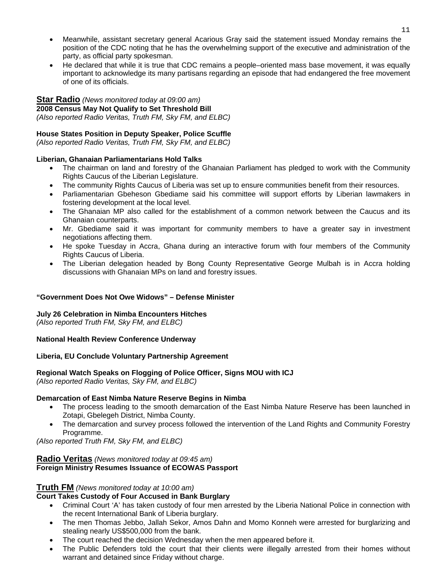- Meanwhile, assistant secretary general Acarious Gray said the statement issued Monday remains the position of the CDC noting that he has the overwhelming support of the executive and administration of the party, as official party spokesman.
- He declared that while it is true that CDC remains a people–oriented mass base movement, it was equally important to acknowledge its many partisans regarding an episode that had endangered the free movement of one of its officials.

## **Star Radio** *(News monitored today at 09:00 am)*

**2008 Census May Not Qualify to Set Threshold Bill** 

*(Also reported Radio Veritas, Truth FM, Sky FM, and ELBC)* 

#### **House States Position in Deputy Speaker, Police Scuffle**

*(Also reported Radio Veritas, Truth FM, Sky FM, and ELBC)* 

#### **Liberian, Ghanaian Parliamentarians Hold Talks**

- The chairman on land and forestry of the Ghanaian Parliament has pledged to work with the Community Rights Caucus of the Liberian Legislature.
- The community Rights Caucus of Liberia was set up to ensure communities benefit from their resources.
- Parliamentarian Gbeheson Gbediame said his committee will support efforts by Liberian lawmakers in fostering development at the local level.
- The Ghanaian MP also called for the establishment of a common network between the Caucus and its Ghanaian counterparts.
- Mr. Gbediame said it was important for community members to have a greater say in investment negotiations affecting them.
- He spoke Tuesday in Accra, Ghana during an interactive forum with four members of the Community Rights Caucus of Liberia.
- The Liberian delegation headed by Bong County Representative George Mulbah is in Accra holding discussions with Ghanaian MPs on land and forestry issues.

#### **"Government Does Not Owe Widows" – Defense Minister**

#### **July 26 Celebration in Nimba Encounters Hitches**

*(Also reported Truth FM, Sky FM, and ELBC)* 

#### **National Health Review Conference Underway**

#### **Liberia, EU Conclude Voluntary Partnership Agreement**

#### **Regional Watch Speaks on Flogging of Police Officer, Signs MOU with ICJ**

*(Also reported Radio Veritas, Sky FM, and ELBC)* 

#### **Demarcation of East Nimba Nature Reserve Begins in Nimba**

- The process leading to the smooth demarcation of the East Nimba Nature Reserve has been launched in Zotapi, Gbelegeh District, Nimba County.
- The demarcation and survey process followed the intervention of the Land Rights and Community Forestry Programme.

*(Also reported Truth FM, Sky FM, and ELBC)* 

#### **Radio Veritas** *(News monitored today at 09:45 am)* **Foreign Ministry Resumes Issuance of ECOWAS Passport**

#### **Truth FM** *(News monitored today at 10:00 am)*

#### **Court Takes Custody of Four Accused in Bank Burglary**

- Criminal Court 'A' has taken custody of four men arrested by the Liberia National Police in connection with the recent International Bank of Liberia burglary.
- The men Thomas Jebbo, Jallah Sekor, Amos Dahn and Momo Konneh were arrested for burglarizing and stealing nearly US\$500,000 from the bank.
- The court reached the decision Wednesday when the men appeared before it.
- The Public Defenders told the court that their clients were illegally arrested from their homes without warrant and detained since Friday without charge.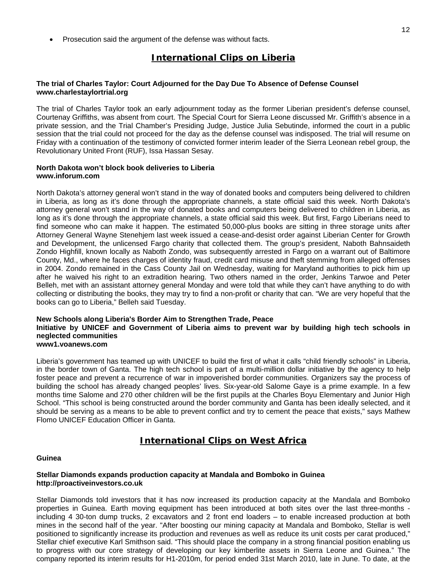• Prosecution said the argument of the defense was without facts.

## **International Clips on Liberia**

#### **The trial of Charles Taylor: Court Adjourned for the Day Due To Absence of Defense Counsel www.charlestaylortrial.org**

The trial of Charles Taylor took an early adjournment today as the former Liberian president's defense counsel, Courtenay Griffiths, was absent from court. The Special Court for Sierra Leone discussed Mr. Griffith's absence in a private session, and the Trial Chamber's Presiding Judge, Justice Julia Sebutinde, informed the court in a public session that the trial could not proceed for the day as the defense counsel was indisposed. The trial will resume on Friday with a continuation of the testimony of convicted former interim leader of the Sierra Leonean rebel group, the Revolutionary United Front (RUF), Issa Hassan Sesay.

#### **North Dakota won't block book deliveries to Liberia www.inforum.com**

North Dakota's attorney general won't stand in the way of donated books and computers being delivered to children in Liberia, as long as it's done through the appropriate channels, a state official said this week. North Dakota's attorney general won't stand in the way of donated books and computers being delivered to children in Liberia, as long as it's done through the appropriate channels, a state official said this week. But first, Fargo Liberians need to find someone who can make it happen. The estimated 50,000-plus books are sitting in three storage units after Attorney General Wayne Stenehjem last week issued a cease-and-desist order against Liberian Center for Growth and Development, the unlicensed Fargo charity that collected them. The group's president, Naboth Bahnsaideth Zondo Highfill, known locally as Naboth Zondo, was subsequently arrested in Fargo on a warrant out of Baltimore County, Md., where he faces charges of identity fraud, credit card misuse and theft stemming from alleged offenses in 2004. Zondo remained in the Cass County Jail on Wednesday, waiting for Maryland authorities to pick him up after he waived his right to an extradition hearing. Two others named in the order, Jenkins Tarwoe and Peter Belleh, met with an assistant attorney general Monday and were told that while they can't have anything to do with collecting or distributing the books, they may try to find a non-profit or charity that can. "We are very hopeful that the books can go to Liberia," Belleh said Tuesday.

#### **New Schools along Liberia's Border Aim to Strengthen Trade, Peace**

#### **Initiative by UNICEF and Government of Liberia aims to prevent war by building high tech schools in neglected communities**

#### **www1.voanews.com**

Liberia's government has teamed up with UNICEF to build the first of what it calls "child friendly schools" in Liberia, in the border town of Ganta. The high tech school is part of a multi-million dollar initiative by the agency to help foster peace and prevent a recurrence of war in impoverished border communities. Organizers say the process of building the school has already changed peoples' lives. Six-year-old Salome Gaye is a prime example. In a few months time Salome and 270 other children will be the first pupils at the Charles Boyu Elementary and Junior High School. "This school is being constructed around the border community and Ganta has been ideally selected, and it should be serving as a means to be able to prevent conflict and try to cement the peace that exists," says Mathew Flomo UNICEF Education Officer in Ganta.

## **International Clips on West Africa**

#### **Guinea**

#### **Stellar Diamonds expands production capacity at Mandala and Bomboko in Guinea http://proactiveinvestors.co.uk**

Stellar Diamonds told investors that it has now increased its production capacity at the Mandala and Bomboko properties in Guinea. Earth moving equipment has been introduced at both sites over the last three-months including 4 30-ton dump trucks, 2 excavators and 2 front end loaders – to enable increased production at both mines in the second half of the year. "After boosting our mining capacity at Mandala and Bomboko, Stellar is well positioned to significantly increase its production and revenues as well as reduce its unit costs per carat produced," Stellar chief executive Karl Smithson said. "This should place the company in a strong financial position enabling us to progress with our core strategy of developing our key kimberlite assets in Sierra Leone and Guinea." The company reported its interim results for H1-2010m, for period ended 31st March 2010, late in June. To date, at the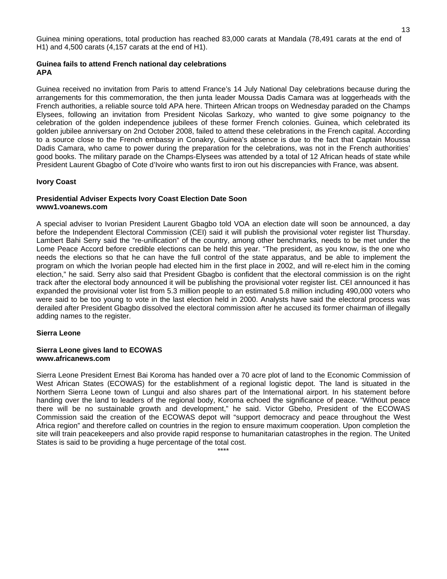Guinea mining operations, total production has reached 83,000 carats at Mandala (78,491 carats at the end of H1) and 4,500 carats (4,157 carats at the end of H1).

#### **Guinea fails to attend French national day celebrations APA**

Guinea received no invitation from Paris to attend France's 14 July National Day celebrations because during the arrangements for this commemoration, the then junta leader Moussa Dadis Camara was at loggerheads with the French authorities, a reliable source told APA here. Thirteen African troops on Wednesday paraded on the Champs Elysees, following an invitation from President Nicolas Sarkozy, who wanted to give some poignancy to the celebration of the golden independence jubilees of these former French colonies. Guinea, which celebrated its golden jubilee anniversary on 2nd October 2008, failed to attend these celebrations in the French capital. According to a source close to the French embassy in Conakry, Guinea's absence is due to the fact that Captain Moussa Dadis Camara, who came to power during the preparation for the celebrations, was not in the French authorities' good books. The military parade on the Champs-Elysees was attended by a total of 12 African heads of state while President Laurent Gbagbo of Cote d'Ivoire who wants first to iron out his discrepancies with France, was absent.

#### **Ivory Coast**

#### **Presidential Adviser Expects Ivory Coast Election Date Soon www1.voanews.com**

A special adviser to Ivorian President Laurent Gbagbo told VOA an election date will soon be announced, a day before the Independent Electoral Commission (CEI) said it will publish the provisional voter register list Thursday. Lambert Bahi Serry said the "re-unification" of the country, among other benchmarks, needs to be met under the Lome Peace Accord before credible elections can be held this year. "The president, as you know, is the one who needs the elections so that he can have the full control of the state apparatus, and be able to implement the program on which the Ivorian people had elected him in the first place in 2002, and will re-elect him in the coming election," he said. Serry also said that President Gbagbo is confident that the electoral commission is on the right track after the electoral body announced it will be publishing the provisional voter register list. CEI announced it has expanded the provisional voter list from 5.3 million people to an estimated 5.8 million including 490,000 voters who were said to be too young to vote in the last election held in 2000. Analysts have said the electoral process was derailed after President Gbagbo dissolved the electoral commission after he accused its former chairman of illegally adding names to the register.

#### **Sierra Leone**

#### **Sierra Leone gives land to ECOWAS www.africanews.com**

Sierra Leone President Ernest Bai Koroma has handed over a 70 acre plot of land to the Economic Commission of West African States (ECOWAS) for the establishment of a regional logistic depot. The land is situated in the Northern Sierra Leone town of Lungui and also shares part of the International airport. In his statement before handing over the land to leaders of the regional body, Koroma echoed the significance of peace. "Without peace there will be no sustainable growth and development," he said. Victor Gbeho, President of the ECOWAS Commission said the creation of the ECOWAS depot will "support democracy and peace throughout the West Africa region" and therefore called on countries in the region to ensure maximum cooperation. Upon completion the site will train peacekeepers and also provide rapid response to humanitarian catastrophes in the region. The United States is said to be providing a huge percentage of the total cost.

\*\*\*\*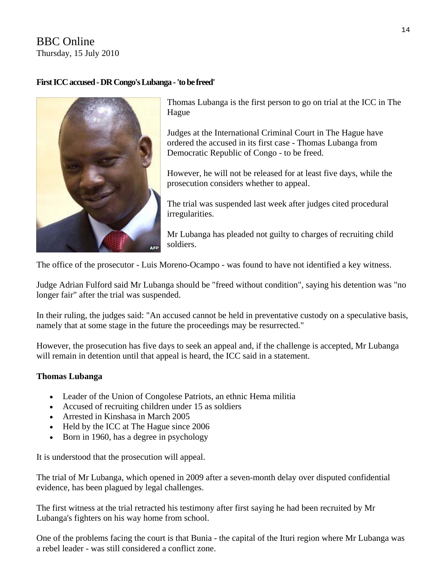## BBC Online Thursday, 15 July 2010

## **First ICC accused - DR Congo's Lubanga - 'to be freed'**



Thomas Lubanga is the first person to go on trial at the ICC in The Hague

Judges at the International Criminal Court in The Hague have ordered the accused in its first case - Thomas Lubanga from Democratic Republic of Congo - to be freed.

However, he will not be released for at least five days, while the prosecution considers whether to appeal.

The trial was suspended last week after judges cited procedural irregularities.

Mr Lubanga has pleaded not guilty to charges of recruiting child soldiers.

The office of the prosecutor - Luis Moreno-Ocampo - was found to have not identified a key witness.

Judge Adrian Fulford said Mr Lubanga should be "freed without condition", saying his detention was "no longer fair" after the trial was suspended.

In their ruling, the judges said: "An accused cannot be held in preventative custody on a speculative basis, namely that at some stage in the future the proceedings may be resurrected."

However, the prosecution has five days to seek an appeal and, if the challenge is accepted, Mr Lubanga will remain in detention until that appeal is heard, the ICC said in a statement.

## **Thomas Lubanga**

- Leader of the Union of Congolese Patriots, an ethnic Hema militia
- Accused of recruiting children under 15 as soldiers
- Arrested in Kinshasa in March 2005
- Held by the ICC at The Hague since 2006
- Born in 1960, has a degree in psychology

It is understood that the prosecution will appeal.

The trial of Mr Lubanga, which opened in 2009 after a seven-month delay over disputed confidential evidence, has been plagued by legal challenges.

The first witness at the trial retracted his testimony after first saying he had been recruited by Mr Lubanga's fighters on his way home from school.

One of the problems facing the court is that Bunia - the capital of the Ituri region where Mr Lubanga was a rebel leader - was still considered a conflict zone.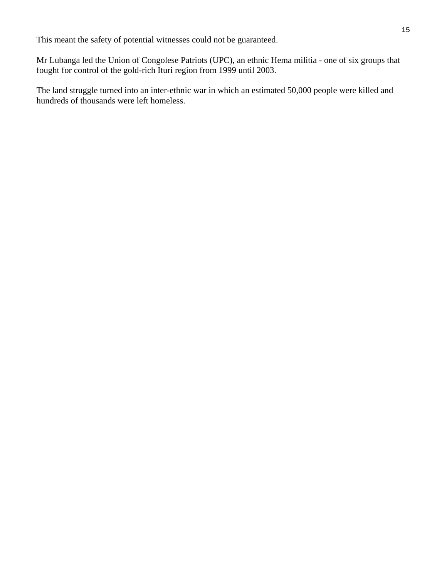This meant the safety of potential witnesses could not be guaranteed.

Mr Lubanga led the Union of Congolese Patriots (UPC), an ethnic Hema militia - one of six groups that fought for control of the gold-rich Ituri region from 1999 until 2003.

The land struggle turned into an inter-ethnic war in which an estimated 50,000 people were killed and hundreds of thousands were left homeless.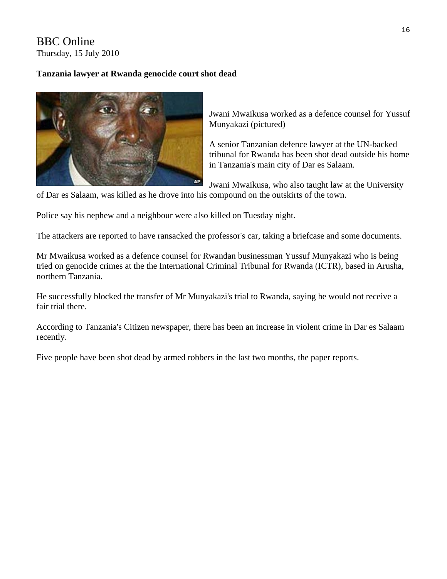BBC Online Thursday, 15 July 2010

## **Tanzania lawyer at Rwanda genocide court shot dead**



Jwani Mwaikusa worked as a defence counsel for Yussuf Munyakazi (pictured)

A senior Tanzanian defence lawyer at the UN-backed tribunal for Rwanda has been shot dead outside his home in Tanzania's main city of Dar es Salaam.

Jwani Mwaikusa, who also taught law at the University of Dar es Salaam, was killed as he drove into his compound on the outskirts of the town.

Police say his nephew and a neighbour were also killed on Tuesday night.

The attackers are reported to have ransacked the professor's car, taking a briefcase and some documents.

Mr Mwaikusa worked as a defence counsel for Rwandan businessman Yussuf Munyakazi who is being tried on genocide crimes at the the International Criminal Tribunal for Rwanda (ICTR), based in Arusha, northern Tanzania.

He successfully blocked the transfer of Mr Munyakazi's trial to Rwanda, saying he would not receive a fair trial there.

According to Tanzania's Citizen newspaper, there has been an increase in violent crime in Dar es Salaam recently.

Five people have been shot dead by armed robbers in the last two months, the paper reports.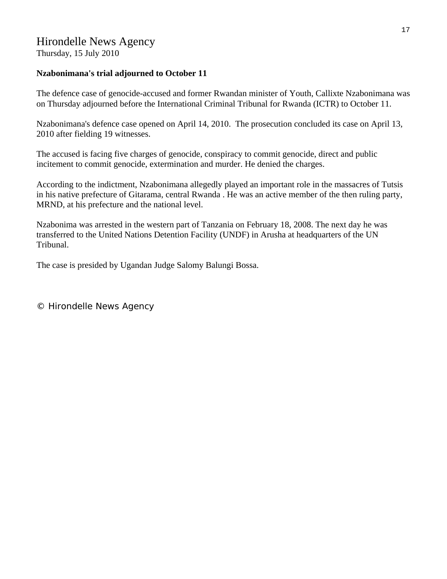# Hirondelle News Agency

Thursday, 15 July 2010

## **Nzabonimana's trial adjourned to October 11**

The defence case of genocide-accused and former Rwandan minister of Youth, Callixte Nzabonimana was on Thursday adjourned before the International Criminal Tribunal for Rwanda (ICTR) to October 11.

Nzabonimana's defence case opened on April 14, 2010. The prosecution concluded its case on April 13, 2010 after fielding 19 witnesses.

The accused is facing five charges of genocide, conspiracy to commit genocide, direct and public incitement to commit genocide, extermination and murder. He denied the charges.

According to the indictment, Nzabonimana allegedly played an important role in the massacres of Tutsis in his native prefecture of Gitarama, central Rwanda . He was an active member of the then ruling party, MRND, at his prefecture and the national level.

Nzabonima was arrested in the western part of Tanzania on February 18, 2008. The next day he was transferred to the United Nations Detention Facility (UNDF) in Arusha at headquarters of the UN Tribunal.

The case is presided by Ugandan Judge Salomy Balungi Bossa.

© Hirondelle News Agency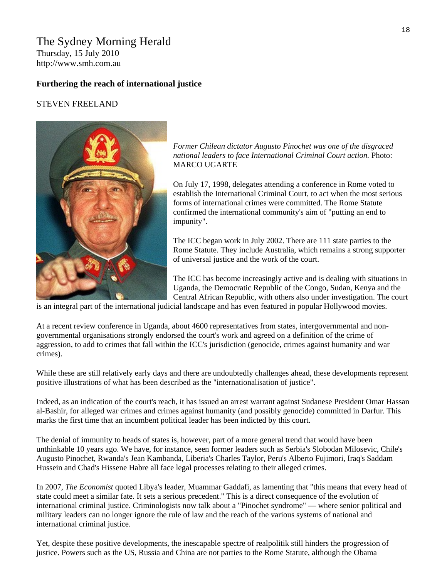## The Sydney Morning Herald

Thursday, 15 July 2010 http://www.smh.com.au

## **Furthering the reach of international justice**

## STEVEN FREELAND



*Former Chilean dictator Augusto Pinochet was one of the disgraced national leaders to face International Criminal Court action.* Photo: MARCO UGARTE

On July 17, 1998, delegates attending a conference in Rome voted to establish the International Criminal Court, to act when the most serious forms of international crimes were committed. The Rome Statute confirmed the international community's aim of "putting an end to impunity".

The ICC began work in July 2002. There are 111 state parties to the Rome Statute. They include Australia, which remains a strong supporter of universal justice and the work of the court.

The ICC has become increasingly active and is dealing with situations in Uganda, the Democratic Republic of the Congo, Sudan, Kenya and the Central African Republic, with others also under investigation. The court

is an integral part of the international judicial landscape and has even featured in popular Hollywood movies.

At a recent review conference in Uganda, about 4600 representatives from states, intergovernmental and nongovernmental organisations strongly endorsed the court's work and agreed on a definition of the crime of aggression, to add to crimes that fall within the ICC's jurisdiction (genocide, crimes against humanity and war crimes).

While these are still relatively early days and there are undoubtedly challenges ahead, these developments represent positive illustrations of what has been described as the "internationalisation of justice".

Indeed, as an indication of the court's reach, it has issued an arrest warrant against Sudanese President Omar Hassan al-Bashir, for alleged war crimes and crimes against humanity (and possibly genocide) committed in Darfur. This marks the first time that an incumbent political leader has been indicted by this court.

The denial of immunity to heads of states is, however, part of a more general trend that would have been unthinkable 10 years ago. We have, for instance, seen former leaders such as Serbia's Slobodan Milosevic, Chile's Augusto Pinochet, Rwanda's Jean Kambanda, Liberia's Charles Taylor, Peru's Alberto Fujimori, Iraq's Saddam Hussein and Chad's Hissene Habre all face legal processes relating to their alleged crimes.

In 2007, *The Economist* quoted Libya's leader, Muammar Gaddafi, as lamenting that "this means that every head of state could meet a similar fate. It sets a serious precedent." This is a direct consequence of the evolution of international criminal justice. Criminologists now talk about a "Pinochet syndrome" — where senior political and military leaders can no longer ignore the rule of law and the reach of the various systems of national and international criminal justice.

Yet, despite these positive developments, the inescapable spectre of realpolitik still hinders the progression of justice. Powers such as the US, Russia and China are not parties to the Rome Statute, although the Obama